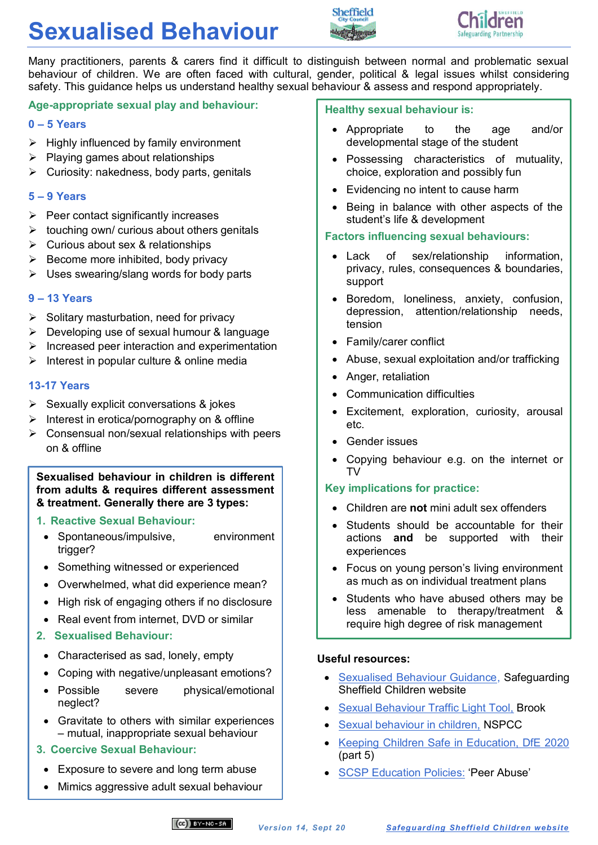# **Sexualised Behaviour**





Many practitioners, parents & carers find it difficult to distinguish between normal and problematic sexual behaviour of children. We are often faced with cultural, gender, political & legal issues whilst considering safety. This guidance helps us understand healthy sexual behaviour & assess and respond appropriately.

## **Age-appropriate sexual play and behaviour:**

#### **0 – 5 Years**

- $\triangleright$  Highly influenced by family environment
- $\triangleright$  Playing games about relationships
- $\triangleright$  Curiosity: nakedness, body parts, genitals

## **5 – 9 Years**

- $\triangleright$  Peer contact significantly increases
- $\triangleright$  touching own/ curious about others genitals
- $\triangleright$  Curious about sex & relationships
- $\triangleright$  Become more inhibited, body privacy
- $\triangleright$  Uses swearing/slang words for body parts

#### **9 – 13 Years**

- $\triangleright$  Solitary masturbation, need for privacy
- $\triangleright$  Developing use of sexual humour & language
- $\triangleright$  Increased peer interaction and experimentation
- $\triangleright$  Interest in popular culture & online media

## **13-17 Years**

- $\triangleright$  Sexually explicit conversations & jokes
- $\triangleright$  Interest in erotica/pornography on & offline
- $\triangleright$  Consensual non/sexual relationships with peers on & offline

**Sexualised behaviour in children is different from adults & requires different assessment & treatment. Generally there are 3 types:**

## **1. Reactive Sexual Behaviour:**

- Spontaneous/impulsive, environment trigger?
- Something witnessed or experienced
- Overwhelmed, what did experience mean?
- High risk of engaging others if no disclosure
- Real event from internet, DVD or similar

## **2. Sexualised Behaviour:**

- Characterised as sad, lonely, empty
- Coping with negative/unpleasant emotions?
- Possible severe physical/emotional neglect?
- Gravitate to others with similar experiences – mutual, inappropriate sexual behaviour
- **3. Coercive Sexual Behaviour:**
- Exposure to severe and long term abuse
- Mimics aggressive adult sexual behaviour Children have minimal peer relationships

#### **Healthy sexual behaviour is:**

- Appropriate to the age and/or developmental stage of the student
- Possessing characteristics of mutuality, choice, exploration and possibly fun
- Evidencing no intent to cause harm
- Being in balance with other aspects of the student's life & development

## **Factors influencing sexual behaviours:**

- Lack of sex/relationship information, privacy, rules, consequences & boundaries, support
- Boredom, loneliness, anxiety, confusion, depression, attention/relationship needs, tension
- Family/carer conflict
- Abuse, sexual exploitation and/or trafficking
- Anger, retaliation
- Communication difficulties
- Excitement, exploration, curiosity, arousal etc.
- Gender issues
- Copying behaviour e.g. on the internet or  $T<sub>V</sub>$

## **Key implications for practice:**

- Children are **not** mini adult sex offenders
- Students should be accountable for their actions **and** be supported with their experiences
- Focus on young person's living environment as much as on individual treatment plans
- Students who have abused others may be less amenable to therapy/treatment & require high degree of risk management

#### **Useful resources:**

- [Sexualised Behaviour Guidance,](https://www.safeguardingsheffieldchildren.org/sscb/safeguarding-information-and-resources/sexualised-behaviour) Safeguarding Sheffield Children website
- [Sexual Behaviour Traffic Light Tool,](https://www.brook.org.uk/our-work/category/sexual-behaviours-traffic-light-tool) Brook
- [Sexual behaviour in children,](https://www.nspcc.org.uk/preventing-abuse/keeping-children-safe/healthy-sexual-behaviour-children-young-people/) NSPCC
- [Keeping Children Safe in Education, DfE 2020](https://www.gov.uk/government/publications/keeping-children-safe-in-education--2) (part 5)
- [SCSP Education Policies:](https://www.safeguardingsheffieldchildren.org/sscb/education/policies-procedures) 'Peer Abuse'